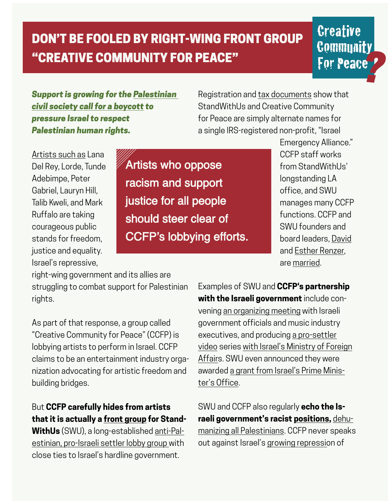## DON'T BE FOOLED BY RIGHT-WING FRONT GROUP "CREATIVE COMMUNITY FOR PEACE"

**Creative Community** For Peace

*Support is growing for the [Palestinian](http://www.bdsmovement.net/)  [civil society call for a boycott t](http://www.bdsmovement.net/)o pressure Israel to respect Palestinian human rights.*

Registration and [tax documents](https://www.standwithus.com/aboutus/2016PublicDisclosureForm990.pdf) show that StandWithUs and Creative Community for Peace are simply alternate names for a single IRS-registered non-profit, "Israel

[Artists such as](https://amp.theguardian.com/music/2018/jan/05/lordes-artistic-right-to-cancel-gig-in-tel-aviv) Lana Del Rey, Lorde, Tunde Adebimpe, Peter Gabriel, Lauryn Hill, Talib Kweli, and Mark Ruffalo are taking courageous public stands for freedom, justice and equality. Israel's repressive,

**Artists who oppose** racism and support justice for all people should steer clear of CCFP's lobbying efforts. Emergency Alliance." CCFP staff works from StandWithUs' longstanding LA office, and SWU manages many CCFP functions. CCFP and SWU founders and board leaders, [David](https://www.algemeiner.com/2018/01/29/annual-standwithus-conference-makes-latest-effort-to-fight-bds/)  and [Esther Renzer,](https://www.standwithus.com/aboutus/BoardandStaffGraphic.pdf) are [married.](http://www.zimbio.com/photos/David+Renzer/Esther+Renzer)

right-wing government and its allies are struggling to combat support for Palestinian rights.

As part of that response, a group called "Creative Community for Peace" (CCFP) is lobbying artists to perform in Israel. CCFP claims to be an entertainment industry organization advocating for artistic freedom and building bridges.

## But **CCFP carefully hides from artists that it is actually a [front group](https://jewishvoiceforpeace.org/wp-content/uploads/2018/10/IEA-Fict.-Name-Statement-2016.pdf) for Stand-**

**WithUs** (SWU), a long-established [anti-Pal](https://forward.com/news/146821/standwithus-draws-line-on-israel/)[estinian, pro-Israeli settler lobby group](https://forward.com/news/146821/standwithus-draws-line-on-israel/) with close ties to Israel's hardline government.

Examples of SWU and **CCFP's partnership with the Israeli government** include convening [an organizing meeting](http://jewishjournal.com/news/israel/103465/music-moguls-to-artists-dont-boycott-israel/) with Israeli government officials and music industry executives, and producing [a pro-settler](https://www.youtube.com/watch?v=XGYxLWUKwWo)  [video](https://www.youtube.com/watch?v=XGYxLWUKwWo) series [with Israel's Ministry of Foreign](http://www.standwithus.com/social/)  [Affairs.](http://www.standwithus.com/social/) SWU even announced they were awarded [a grant from Israel's Prime Minis](https://www.haaretz.com/.premium-pmo-hires-rightist-advocacy-group-1.5360091)[ter's Office](https://www.haaretz.com/.premium-pmo-hires-rightist-advocacy-group-1.5360091).

SWU and CCFP also regularly **echo the Israeli government's racist [positions,](https://web.archive.org/web/20130603192003/http://www.creativecommunityforpeace.com/Is%20It%20True.asp?p=ta)** [dehu](https://twitter.com/StandWithUs/status/982384959284498432)[manizing all Palestinians](https://twitter.com/StandWithUs/status/982384959284498432). CCFP never speaks out against Israel'[s growing repression](https://www.nybooks.com/daily/2018/03/22/israels-war-on-culture/) of